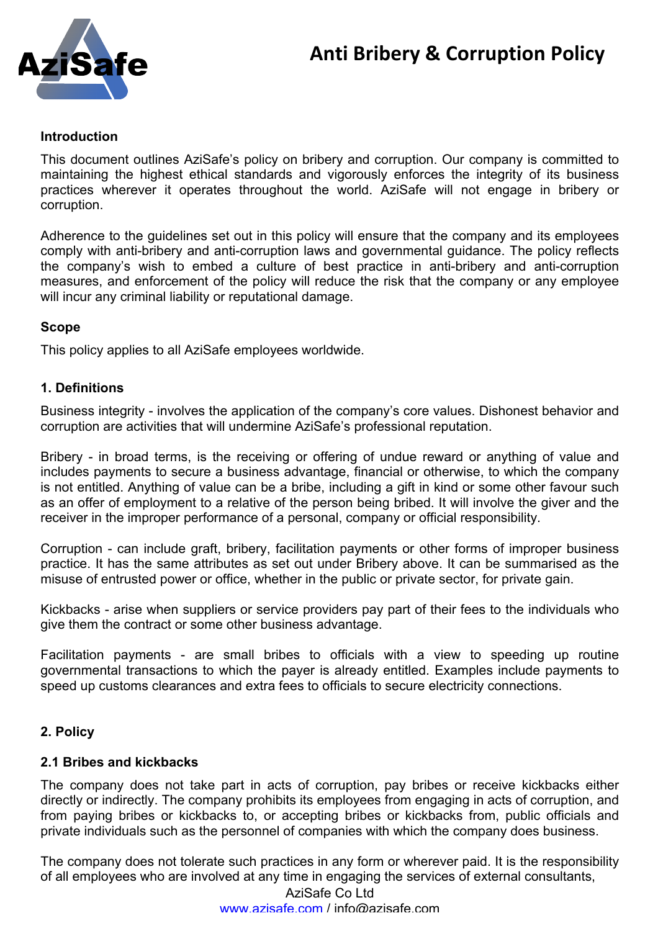

## **Introduction**

This document outlines AziSafe's policy on bribery and corruption. Our company is committed to maintaining the highest ethical standards and vigorously enforces the integrity of its business practices wherever it operates throughout the world. AziSafe will not engage in bribery or corruption.

Adherence to the guidelines set out in this policy will ensure that the company and its employees comply with anti-bribery and anti-corruption laws and governmental guidance. The policy reflects the company's wish to embed a culture of best practice in anti-bribery and anti-corruption measures, and enforcement of the policy will reduce the risk that the company or any employee will incur any criminal liability or reputational damage.

# **Scope**

This policy applies to all AziSafe employees worldwide.

## **1. Definitions**

Business integrity - involves the application of the company's core values. Dishonest behavior and corruption are activities that will undermine AziSafe's professional reputation.

Bribery - in broad terms, is the receiving or offering of undue reward or anything of value and includes payments to secure a business advantage, financial or otherwise, to which the company is not entitled. Anything of value can be a bribe, including a gift in kind or some other favour such as an offer of employment to a relative of the person being bribed. It will involve the giver and the receiver in the improper performance of a personal, company or official responsibility.

Corruption - can include graft, bribery, facilitation payments or other forms of improper business practice. It has the same attributes as set out under Bribery above. It can be summarised as the misuse of entrusted power or office, whether in the public or private sector, for private gain.

Kickbacks - arise when suppliers or service providers pay part of their fees to the individuals who give them the contract or some other business advantage.

Facilitation payments - are small bribes to officials with a view to speeding up routine governmental transactions to which the payer is already entitled. Examples include payments to speed up customs clearances and extra fees to officials to secure electricity connections.

# **2. Policy**

## **2.1 Bribes and kickbacks**

The company does not take part in acts of corruption, pay bribes or receive kickbacks either directly or indirectly. The company prohibits its employees from engaging in acts of corruption, and from paying bribes or kickbacks to, or accepting bribes or kickbacks from, public officials and private individuals such as the personnel of companies with which the company does business.

The company does not tolerate such practices in any form or wherever paid. It is the responsibility of all employees who are involved at any time in engaging the services of external consultants,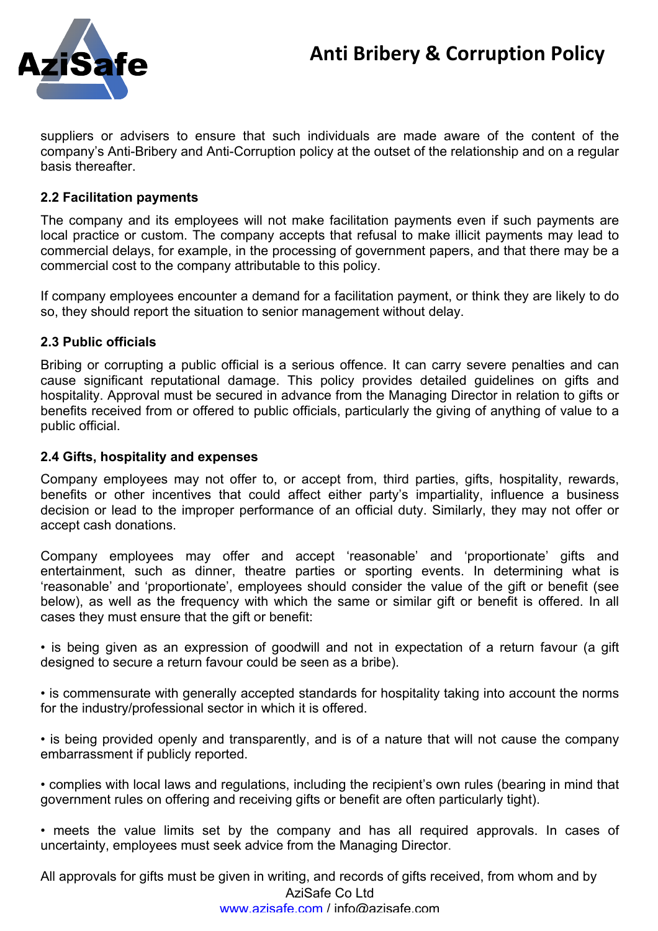

suppliers or advisers to ensure that such individuals are made aware of the content of the company's Anti-Bribery and Anti-Corruption policy at the outset of the relationship and on a regular basis thereafter.

# **2.2 Facilitation payments**

The company and its employees will not make facilitation payments even if such payments are local practice or custom. The company accepts that refusal to make illicit payments may lead to commercial delays, for example, in the processing of government papers, and that there may be a commercial cost to the company attributable to this policy.

If company employees encounter a demand for a facilitation payment, or think they are likely to do so, they should report the situation to senior management without delay.

## **2.3 Public officials**

Bribing or corrupting a public official is a serious offence. It can carry severe penalties and can cause significant reputational damage. This policy provides detailed guidelines on gifts and hospitality. Approval must be secured in advance from the Managing Director in relation to gifts or benefits received from or offered to public officials, particularly the giving of anything of value to a public official.

## **2.4 Gifts, hospitality and expenses**

Company employees may not offer to, or accept from, third parties, gifts, hospitality, rewards, benefits or other incentives that could affect either party's impartiality, influence a business decision or lead to the improper performance of an official duty. Similarly, they may not offer or accept cash donations.

Company employees may offer and accept 'reasonable' and 'proportionate' gifts and entertainment, such as dinner, theatre parties or sporting events. In determining what is 'reasonable' and 'proportionate', employees should consider the value of the gift or benefit (see below), as well as the frequency with which the same or similar gift or benefit is offered. In all cases they must ensure that the gift or benefit:

• is being given as an expression of goodwill and not in expectation of a return favour (a gift designed to secure a return favour could be seen as a bribe).

• is commensurate with generally accepted standards for hospitality taking into account the norms for the industry/professional sector in which it is offered.

• is being provided openly and transparently, and is of a nature that will not cause the company embarrassment if publicly reported.

• complies with local laws and regulations, including the recipient's own rules (bearing in mind that government rules on offering and receiving gifts or benefit are often particularly tight).

• meets the value limits set by the company and has all required approvals. In cases of uncertainty, employees must seek advice from the Managing Director.

All approvals for gifts must be given in writing, and records of gifts received, from whom and by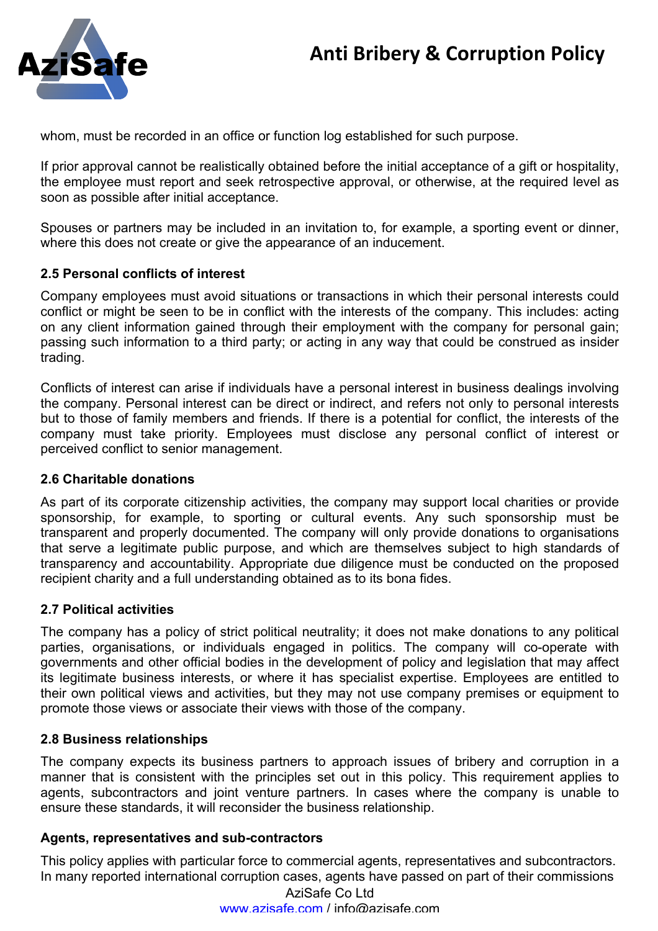

whom, must be recorded in an office or function log established for such purpose.

If prior approval cannot be realistically obtained before the initial acceptance of a gift or hospitality, the employee must report and seek retrospective approval, or otherwise, at the required level as soon as possible after initial acceptance.

Spouses or partners may be included in an invitation to, for example, a sporting event or dinner, where this does not create or give the appearance of an inducement.

## **2.5 Personal conflicts of interest**

Company employees must avoid situations or transactions in which their personal interests could conflict or might be seen to be in conflict with the interests of the company. This includes: acting on any client information gained through their employment with the company for personal gain; passing such information to a third party; or acting in any way that could be construed as insider trading.

Conflicts of interest can arise if individuals have a personal interest in business dealings involving the company. Personal interest can be direct or indirect, and refers not only to personal interests but to those of family members and friends. If there is a potential for conflict, the interests of the company must take priority. Employees must disclose any personal conflict of interest or perceived conflict to senior management.

## **2.6 Charitable donations**

As part of its corporate citizenship activities, the company may support local charities or provide sponsorship, for example, to sporting or cultural events. Any such sponsorship must be transparent and properly documented. The company will only provide donations to organisations that serve a legitimate public purpose, and which are themselves subject to high standards of transparency and accountability. Appropriate due diligence must be conducted on the proposed recipient charity and a full understanding obtained as to its bona fides.

## **2.7 Political activities**

The company has a policy of strict political neutrality; it does not make donations to any political parties, organisations, or individuals engaged in politics. The company will co-operate with governments and other official bodies in the development of policy and legislation that may affect its legitimate business interests, or where it has specialist expertise. Employees are entitled to their own political views and activities, but they may not use company premises or equipment to promote those views or associate their views with those of the company.

## **2.8 Business relationships**

The company expects its business partners to approach issues of bribery and corruption in a manner that is consistent with the principles set out in this policy. This requirement applies to agents, subcontractors and joint venture partners. In cases where the company is unable to ensure these standards, it will reconsider the business relationship.

## **Agents, representatives and sub-contractors**

This policy applies with particular force to commercial agents, representatives and subcontractors. In many reported international corruption cases, agents have passed on part of their commissions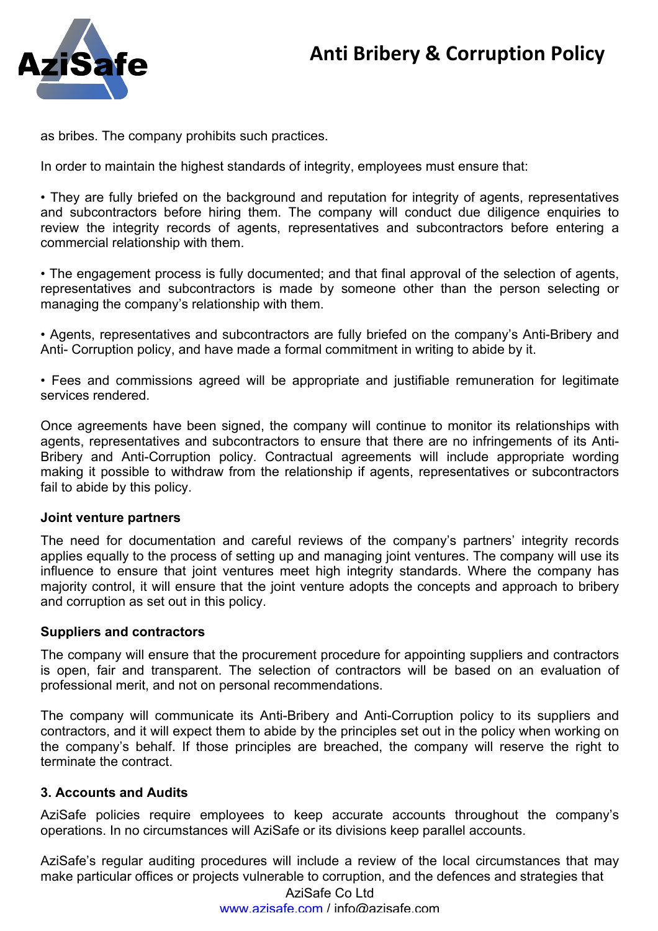

as bribes. The company prohibits such practices.

In order to maintain the highest standards of integrity, employees must ensure that:

• They are fully briefed on the background and reputation for integrity of agents, representatives and subcontractors before hiring them. The company will conduct due diligence enquiries to review the integrity records of agents, representatives and subcontractors before entering a commercial relationship with them.

• The engagement process is fully documented; and that final approval of the selection of agents, representatives and subcontractors is made by someone other than the person selecting or managing the company's relationship with them.

• Agents, representatives and subcontractors are fully briefed on the company's Anti-Bribery and Anti- Corruption policy, and have made a formal commitment in writing to abide by it.

• Fees and commissions agreed will be appropriate and justifiable remuneration for legitimate services rendered.

Once agreements have been signed, the company will continue to monitor its relationships with agents, representatives and subcontractors to ensure that there are no infringements of its Anti-Bribery and Anti-Corruption policy. Contractual agreements will include appropriate wording making it possible to withdraw from the relationship if agents, representatives or subcontractors fail to abide by this policy.

#### **Joint venture partners**

The need for documentation and careful reviews of the company's partners' integrity records applies equally to the process of setting up and managing joint ventures. The company will use its influence to ensure that joint ventures meet high integrity standards. Where the company has majority control, it will ensure that the joint venture adopts the concepts and approach to bribery and corruption as set out in this policy.

## **Suppliers and contractors**

The company will ensure that the procurement procedure for appointing suppliers and contractors is open, fair and transparent. The selection of contractors will be based on an evaluation of professional merit, and not on personal recommendations.

The company will communicate its Anti-Bribery and Anti-Corruption policy to its suppliers and contractors, and it will expect them to abide by the principles set out in the policy when working on the company's behalf. If those principles are breached, the company will reserve the right to terminate the contract.

## **3. Accounts and Audits**

AziSafe policies require employees to keep accurate accounts throughout the company's operations. In no circumstances will AziSafe or its divisions keep parallel accounts.

AziSafe's regular auditing procedures will include a review of the local circumstances that may make particular offices or projects vulnerable to corruption, and the defences and strategies that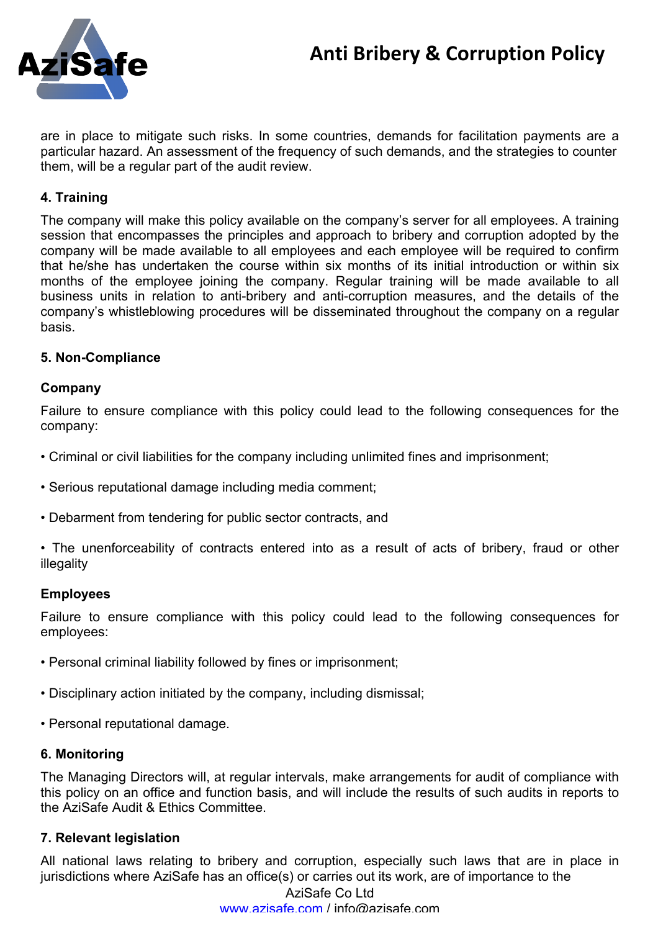# **Anti Bribery & Corruption Policy**



are in place to mitigate such risks. In some countries, demands for facilitation payments are a particular hazard. An assessment of the frequency of such demands, and the strategies to counter them, will be a regular part of the audit review.

# **4. Training**

The company will make this policy available on the company's server for all employees. A training session that encompasses the principles and approach to bribery and corruption adopted by the company will be made available to all employees and each employee will be required to confirm that he/she has undertaken the course within six months of its initial introduction or within six months of the employee joining the company. Regular training will be made available to all business units in relation to anti-bribery and anti-corruption measures, and the details of the company's whistleblowing procedures will be disseminated throughout the company on a regular basis.

## **5. Non-Compliance**

### **Company**

Failure to ensure compliance with this policy could lead to the following consequences for the company:

- Criminal or civil liabilities for the company including unlimited fines and imprisonment;
- Serious reputational damage including media comment;
- Debarment from tendering for public sector contracts, and
- The unenforceability of contracts entered into as a result of acts of bribery, fraud or other illegality

#### **Employees**

Failure to ensure compliance with this policy could lead to the following consequences for employees:

- Personal criminal liability followed by fines or imprisonment;
- Disciplinary action initiated by the company, including dismissal;
- Personal reputational damage.

## **6. Monitoring**

The Managing Directors will, at regular intervals, make arrangements for audit of compliance with this policy on an office and function basis, and will include the results of such audits in reports to the AziSafe Audit & Ethics Committee.

## **7. Relevant legislation**

All national laws relating to bribery and corruption, especially such laws that are in place in jurisdictions where AziSafe has an office(s) or carries out its work, are of importance to the